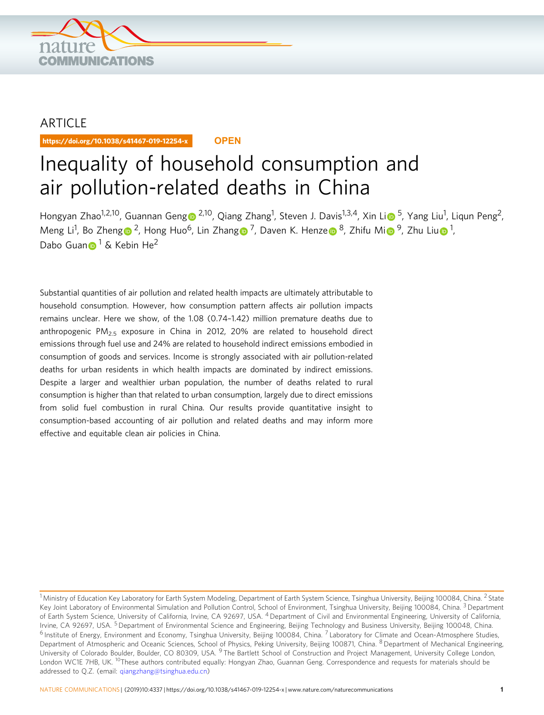

## ARTICLE

https://doi.org/10.1038/s41467-019-12254-x **OPEN**

# Inequality of household consumption and air pollution-related deaths in China

Hon[g](http://orcid.org/0000-0002-1605-8448)yan Zhao<sup>1,2,10</sup>, Guannan Geng⊙ <sup>2,10</sup>, Q[i](http://orcid.org/0000-0003-2202-6829)ang Zhang<sup>1</sup>, Steven J. Davis<sup>1,3,4</sup>, Xin Li⊙ <sup>5</sup>, Yang Liu<sup>1</sup>, Liqun Peng<sup>2</sup>, Men[g](http://orcid.org/0000-0003-2383-8431) Li<sup>1</sup>, Bo Zheng⋒<sup>[2](http://orcid.org/0000-0001-8344-3445)</sup>, Hong Huo<sup>6</sup>, Lin Zhang⋒<sup>[7](http://orcid.org/0000-0003-2383-8431)</sup>, Dav[e](http://orcid.org/0000-0001-6431-4963)n K. Henze⋒<sup>8</sup>, Zh[i](http://orcid.org/0000-0001-8106-0694)fu Mi⋒<sup>[9](http://orcid.org/0000-0001-8106-0694)</s[u](http://orcid.org/0000-0002-8968-7050)p>, Zhu Liu⋒<sup>1</sup>, Dabo Gua[n](http://orcid.org/0000-0003-3773-3403)  $1 \text{ }\&$  Kebin He<sup>2</sup>

Substantial quantities of air pollution and related health impacts are ultimately attributable to household consumption. However, how consumption pattern affects air pollution impacts remains unclear. Here we show, of the 1.08 (0.74–1.42) million premature deaths due to anthropogenic PM<sub>2.5</sub> exposure in China in 2012, 20% are related to household direct emissions through fuel use and 24% are related to household indirect emissions embodied in consumption of goods and services. Income is strongly associated with air pollution-related deaths for urban residents in which health impacts are dominated by indirect emissions. Despite a larger and wealthier urban population, the number of deaths related to rural consumption is higher than that related to urban consumption, largely due to direct emissions from solid fuel combustion in rural China. Our results provide quantitative insight to consumption-based accounting of air pollution and related deaths and may inform more effective and equitable clean air policies in China.

<sup>&</sup>lt;sup>1</sup> Ministry of Education Key Laboratory for Earth System Modeling, Department of Earth System Science, Tsinghua University, Beijing 100084, China. <sup>2</sup> State Key Joint Laboratory of Environmental Simulation and Pollution Control, School of Environment, Tsinghua University, Beijing 100084, China. <sup>3</sup> Department of Earth System Science, University of California, Irvine, CA 92697, USA. <sup>4</sup> Department of Civil and Environmental Engineering, University of California, Irvine, CA 92697, USA. <sup>5</sup> Department of Environmental Science and Engineering, Beijing Technology and Business University, Beijing 100048, China. <sup>6</sup> Institute of Energy, Environment and Economy, Tsinghua University, Beijing 100084, China. <sup>7</sup> Laboratory for Climate and Ocean-Atmosphere Studies, Department of Atmospheric and Oceanic Sciences, School of Physics, Peking University, Beijing 100871, China. <sup>8</sup>Department of Mechanical Engineering, University of Colorado Boulder, Boulder, CO 80309, USA. <sup>9</sup> The Bartlett School of Construction and Project Management, University College London, London WC1E 7HB, UK. <sup>10</sup>These authors contributed equally: Hongyan Zhao, Guannan Geng. Correspondence and requests for materials should be addressed to Q.Z. (email: [qiangzhang@tsinghua.edu.cn\)](mailto:qiangzhang@tsinghua.edu.cn)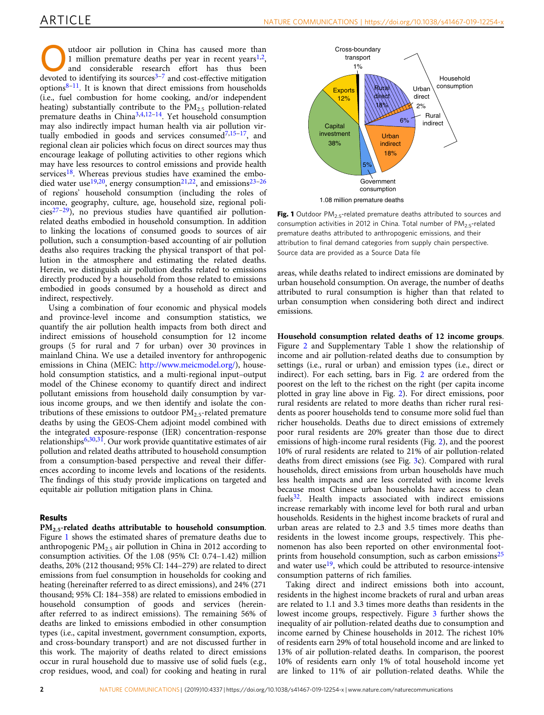utdoor air pollution in China has caused more than<br>
1 million premature deaths per year in recent years<sup>1,2</sup>,<br>
and considerable research effort has thus been<br>
develops to identifying the considerable research effective mit [1](#page-7-0) million premature deaths per year in recent years<sup>1,2</sup>, devoted to identifying its sources $3-7$  $3-7$  $3-7$  and cost-effective mitigation options $8-11$  $8-11$ . It is known that direct emissions from households (i.e., fuel combustion for home cooking, and/or independent heating) substantially contribute to the  $PM<sub>2.5</sub>$  pollution-related premature deaths in China<sup>[3,4](#page-7-0),[12](#page-7-0)–[14](#page-7-0)</sup>. Yet household consumption may also indirectly impact human health via air pollution virtually embodied in goods and services consumed $7,15-17$  $7,15-17$ , and regional clean air policies which focus on direct sources may thus encourage leakage of polluting activities to other regions which may have less resources to control emissions and provide health services<sup>18</sup>. Whereas previous studies have examined the embo-died water use<sup>[19](#page-7-0),[20](#page-7-0)</sup>, energy consumption<sup>21,22</sup>, and emissions<sup>23–[26](#page-7-0)</sup> of regions' household consumption (including the roles of income, geography, culture, age, household size, regional poli $cies^{27-29}$ ), no previous studies have quantified air pollutionrelated deaths embodied in household consumption. In addition to linking the locations of consumed goods to sources of air pollution, such a consumption-based accounting of air pollution deaths also requires tracking the physical transport of that pollution in the atmosphere and estimating the related deaths. Herein, we distinguish air pollution deaths related to emissions directly produced by a household from those related to emissions embodied in goods consumed by a household as direct and indirect, respectively.

Using a combination of four economic and physical models and province-level income and consumption statistics, we quantify the air pollution health impacts from both direct and indirect emissions of household consumption for 12 income groups (5 for rural and 7 for urban) over 30 provinces in mainland China. We use a detailed inventory for anthropogenic emissions in China (MEIC: <http://www.meicmodel.org/>), household consumption statistics, and a multi-regional input–output model of the Chinese economy to quantify direct and indirect pollutant emissions from household daily consumption by various income groups, and we then identify and isolate the contributions of these emissions to outdoor  $PM_{2.5}$ -related premature deaths by using the GEOS-Chem adjoint model combined with the integrated exposure-response (IER) concentration-response relationships $6,30,31$ . Our work provide quantitative estimates of air pollution and related deaths attributed to household consumption from a consumption-based perspective and reveal their differences according to income levels and locations of the residents. The findings of this study provide implications on targeted and equitable air pollution mitigation plans in China.

### Results

PM<sub>2.5</sub>-related deaths attributable to household consumption. Figure 1 shows the estimated shares of premature deaths due to anthropogenic  $PM_{2.5}$  air pollution in China in 2012 according to consumption activities. Of the 1.08 (95% CI: 0.74–1.42) million deaths, 20% (212 thousand; 95% CI: 144–279) are related to direct emissions from fuel consumption in households for cooking and heating (hereinafter referred to as direct emissions), and 24% (271 thousand; 95% CI: 184–358) are related to emissions embodied in household consumption of goods and services (hereinafter referred to as indirect emissions). The remaining 56% of deaths are linked to emissions embodied in other consumption types (i.e., capital investment, government consumption, exports, and cross-boundary transport) and are not discussed further in this work. The majority of deaths related to direct emissions occur in rural household due to massive use of solid fuels (e.g., crop residues, wood, and coal) for cooking and heating in rural



Fig. 1 Outdoor  $PM<sub>2.5</sub>$ -related premature deaths attributed to sources and consumption activities in 2012 in China. Total number of  $PM_{2.5}$ -related premature deaths attributed to anthropogenic emissions, and their attribution to final demand categories from supply chain perspective. Source data are provided as a Source Data file

areas, while deaths related to indirect emissions are dominated by urban household consumption. On average, the number of deaths attributed to rural consumption is higher than that related to urban consumption when considering both direct and indirect emissions.

Household consumption related deaths of 12 income groups. Figure [2](#page-2-0) and Supplementary Table 1 show the relationship of income and air pollution-related deaths due to consumption by settings (i.e., rural or urban) and emission types (i.e., direct or indirect). For each setting, bars in Fig. [2](#page-2-0) are ordered from the poorest on the left to the richest on the right (per capita income plotted in gray line above in Fig. [2\)](#page-2-0). For direct emissions, poor rural residents are related to more deaths than richer rural residents as poorer households tend to consume more solid fuel than richer households. Deaths due to direct emissions of extremely poor rural residents are 20% greater than those due to direct emissions of high-income rural residents (Fig. [2\)](#page-2-0), and the poorest 10% of rural residents are related to 21% of air pollution-related deaths from direct emissions (see Fig. [3c](#page-2-0)). Compared with rural households, direct emissions from urban households have much less health impacts and are less correlated with income levels because most Chinese urban households have access to clean fuels<sup>[32](#page-7-0)</sup>. Health impacts associated with indirect emissions increase remarkably with income level for both rural and urban households. Residents in the highest income brackets of rural and urban areas are related to 2.3 and 3.5 times more deaths than residents in the lowest income groups, respectively. This phenomenon has also been reported on other environmental foot-prints from household consumption, such as carbon emissions<sup>[25](#page-7-0)</sup> and water use<sup>19</sup>, which could be attributed to resource-intensive consumption patterns of rich families.

Taking direct and indirect emissions both into account, residents in the highest income brackets of rural and urban areas are related to 1.1 and 3.3 times more deaths than residents in the lowest income groups, respectively. Figure [3](#page-2-0) further shows the inequality of air pollution-related deaths due to consumption and income earned by Chinese households in 2012. The richest 10% of residents earn 29% of total household income and are linked to 13% of air pollution-related deaths. In comparison, the poorest 10% of residents earn only 1% of total household income yet are linked to 11% of air pollution-related deaths. While the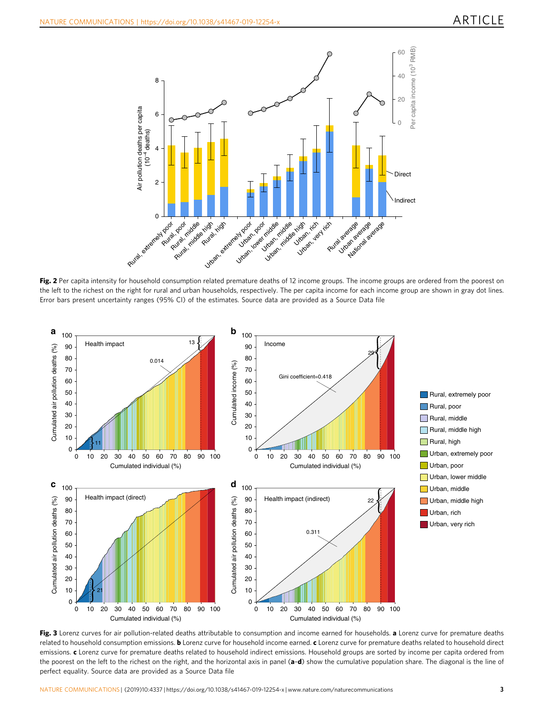<span id="page-2-0"></span>

Fig. 2 Per capita intensity for household consumption related premature deaths of 12 income groups. The income groups are ordered from the poorest on the left to the richest on the right for rural and urban households, respectively. The per capita income for each income group are shown in gray dot lines. Error bars present uncertainty ranges (95% CI) of the estimates. Source data are provided as a Source Data file



Fig. 3 Lorenz curves for air pollution-related deaths attributable to consumption and income earned for households. a Lorenz curve for premature deaths related to household consumption emissions. **b** Lorenz curve for household income earned. c Lorenz curve for premature deaths related to household direct emissions. c Lorenz curve for premature deaths related to household indirect emissions. Household groups are sorted by income per capita ordered from the poorest on the left to the richest on the right, and the horizontal axis in panel  $(a-d)$  show the cumulative population share. The diagonal is the line of perfect equality. Source data are provided as a Source Data file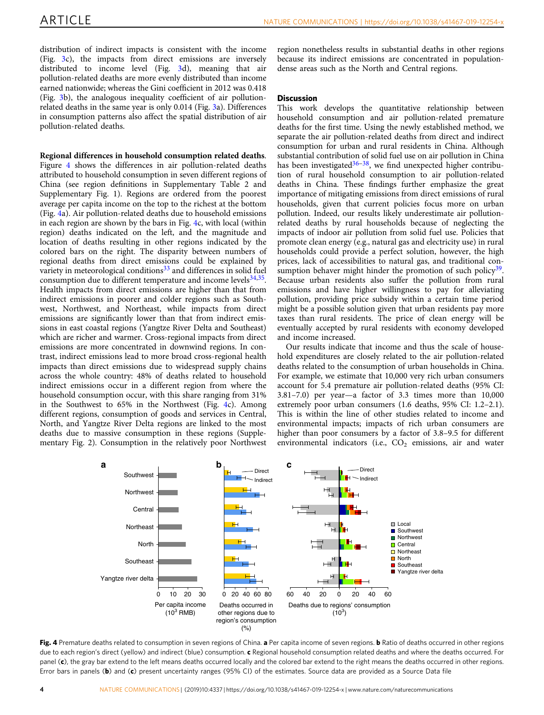<span id="page-3-0"></span>distribution of indirect impacts is consistent with the income (Fig. [3c](#page-2-0)), the impacts from direct emissions are inversely distributed to income level (Fig. [3](#page-2-0)d), meaning that air pollution-related deaths are more evenly distributed than income earned nationwide; whereas the Gini coefficient in 2012 was 0.418 (Fig. [3b](#page-2-0)), the analogous inequality coefficient of air pollutionrelated deaths in the same year is only 0.014 (Fig. [3](#page-2-0)a). Differences in consumption patterns also affect the spatial distribution of air pollution-related deaths.

Regional differences in household consumption related deaths. Figure 4 shows the differences in air pollution-related deaths attributed to household consumption in seven different regions of China (see region definitions in Supplementary Table 2 and Supplementary Fig. 1). Regions are ordered from the poorest average per capita income on the top to the richest at the bottom (Fig. 4a). Air pollution-related deaths due to household emissions in each region are shown by the bars in Fig. 4c, with local (within region) deaths indicated on the left, and the magnitude and location of deaths resulting in other regions indicated by the colored bars on the right. The disparity between numbers of regional deaths from direct emissions could be explained by variety in meteorological conditions<sup>[33](#page-7-0)</sup> and differences in solid fuel consumption due to different temperature and income levels<sup>34,35</sup>. Health impacts from direct emissions are higher than that from indirect emissions in poorer and colder regions such as Southwest, Northwest, and Northeast, while impacts from direct emissions are significantly lower than that from indirect emissions in east coastal regions (Yangtze River Delta and Southeast) which are richer and warmer. Cross-regional impacts from direct emissions are more concentrated in downwind regions. In contrast, indirect emissions lead to more broad cross-regional health impacts than direct emissions due to widespread supply chains across the whole country: 48% of deaths related to household indirect emissions occur in a different region from where the household consumption occur, with this share ranging from 31% in the Southwest to 65% in the Northwest (Fig. 4c). Among different regions, consumption of goods and services in Central, North, and Yangtze River Delta regions are linked to the most deaths due to massive consumption in these regions (Supplementary Fig. 2). Consumption in the relatively poor Northwest

region nonetheless results in substantial deaths in other regions because its indirect emissions are concentrated in populationdense areas such as the North and Central regions.

### Discussion

This work develops the quantitative relationship between household consumption and air pollution-related premature deaths for the first time. Using the newly established method, we separate the air pollution-related deaths from direct and indirect consumption for urban and rural residents in China. Although substantial contribution of solid fuel use on air pollution in China has been investigated<sup>[36](#page-7-0)-[38](#page-7-0)</sup>, we find unexpected higher contribution of rural household consumption to air pollution-related deaths in China. These findings further emphasize the great importance of mitigating emissions from direct emissions of rural households, given that current policies focus more on urban pollution. Indeed, our results likely underestimate air pollutionrelated deaths by rural households because of neglecting the impacts of indoor air pollution from solid fuel use. Policies that promote clean energy (e.g., natural gas and electricity use) in rural households could provide a perfect solution, however, the high prices, lack of accessibilities to natural gas, and traditional consumption behaver might hinder the promotion of such policy $39$ . Because urban residents also suffer the pollution from rural emissions and have higher willingness to pay for alleviating pollution, providing price subsidy within a certain time period might be a possible solution given that urban residents pay more taxes than rural residents. The price of clean energy will be eventually accepted by rural residents with economy developed and income increased.

Our results indicate that income and thus the scale of household expenditures are closely related to the air pollution-related deaths related to the consumption of urban households in China. For example, we estimate that 10,000 very rich urban consumers account for 5.4 premature air pollution-related deaths (95% CI: 3.81–7.0) per year—a factor of 3.3 times more than 10,000 extremely poor urban consumers (1.6 deaths, 95% CI: 1.2–2.1). This is within the line of other studies related to income and environmental impacts; impacts of rich urban consumers are higher than poor consumers by a factor of 3.8–9.5 for different environmental indicators (i.e.,  $CO<sub>2</sub>$  emissions, air and water



Fig. 4 Premature deaths related to consumption in seven regions of China. a Per capita income of seven regions. b Ratio of deaths occurred in other regions due to each region's direct (yellow) and indirect (blue) consumption. c Regional household consumption related deaths and where the deaths occurred. For panel (c), the gray bar extend to the left means deaths occurred locally and the colored bar extend to the right means the deaths occurred in other regions. Error bars in panels (b) and  $(c)$  present uncertainty ranges (95% CI) of the estimates. Source data are provided as a Source Data file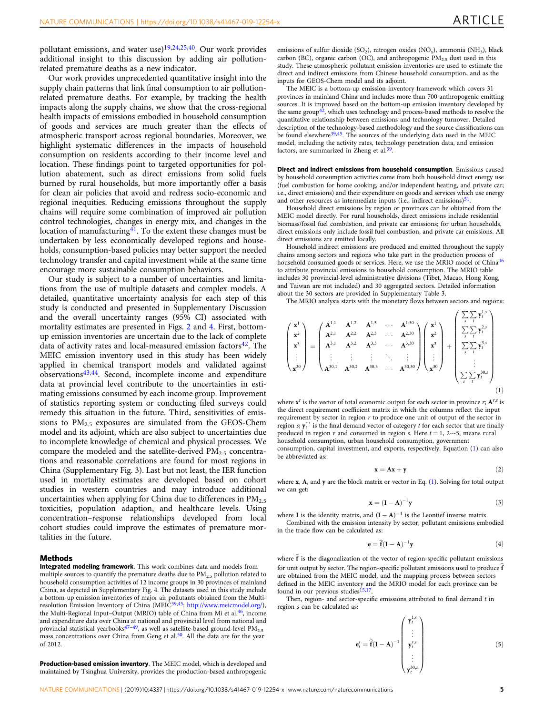pollutant emissions, and water use) $19,24,25,40$ . Our work provides additional insight to this discussion by adding air pollutionrelated premature deaths as a new indicator.

Our work provides unprecedented quantitative insight into the supply chain patterns that link final consumption to air pollutionrelated premature deaths. For example, by tracking the health impacts along the supply chains, we show that the cross-regional health impacts of emissions embodied in household consumption of goods and services are much greater than the effects of atmospheric transport across regional boundaries. Moreover, we highlight systematic differences in the impacts of household consumption on residents according to their income level and location. These findings point to targeted opportunities for pollution abatement, such as direct emissions from solid fuels burned by rural households, but more importantly offer a basis for clean air policies that avoid and redress socio-economic and regional inequities. Reducing emissions throughout the supply chains will require some combination of improved air pollution control technologies, changes in energy mix, and changes in the location of manufacturing $4^1$ . To the extent these changes must be undertaken by less economically developed regions and households, consumption-based policies may better support the needed technology transfer and capital investment while at the same time encourage more sustainable consumption behaviors.

Our study is subject to a number of uncertainties and limitations from the use of multiple datasets and complex models. A detailed, quantitative uncertainty analysis for each step of this study is conducted and presented in Supplementary Discussion and the overall uncertainty ranges (95% CI) associated with mortality estimates are presented in Figs. [2](#page-2-0) and [4](#page-3-0). First, bottomup emission inventories are uncertain due to the lack of complete data of activity rates and local-measured emission factors $42$ . The MEIC emission inventory used in this study has been widely applied in chemical transport models and validated against observations[43](#page-7-0),[44](#page-7-0). Second, incomplete income and expenditure data at provincial level contribute to the uncertainties in estimating emissions consumed by each income group. Improvement of statistics reporting system or conducting filed surveys could remedy this situation in the future. Third, sensitivities of emissions to  $PM_{2.5}$  exposures are simulated from the GEOS-Chem model and its adjoint, which are also subject to uncertainties due to incomplete knowledge of chemical and physical processes. We compare the modeled and the satellite-derived  $PM_{2.5}$  concentrations and reasonable correlations are found for most regions in China (Supplementary Fig. 3). Last but not least, the IER function used in mortality estimates are developed based on cohort studies in western countries and may introduce additional uncertainties when applying for China due to differences in  $PM_{2.5}$ toxicities, population adaption, and healthcare levels. Using concentration–response relationships developed from local cohort studies could improve the estimates of premature mortalities in the future.

### **Methods**

Integrated modeling framework. This work combines data and models from multiple sources to quantify the premature deaths due to  $PM<sub>2.5</sub>$  pollution related to household consumption activities of 12 income groups in 30 provinces of mainland China, as depicted in Supplementary Fig. 4. The datasets used in this study include a bottom-up emission inventories of major air pollutants obtained from the Multi-<br>resolution Emission Inventory of China (MEIC<sup>[39](#page-7-0),[45](#page-7-0)</sup>: <http://www.meicmodel.org/>), the Multi-Regional Input-Output (MRIO) table of China from Mi et al.<sup>46</sup>, income and expenditure data over China at national and provincial level from national and provincial statistical yearbooks $47-49$  $47-49$ , as well as satellite-based ground-level  $PM_{2.5}$ mass concentrations over China from Geng et al.<sup>50</sup>. All the data are for the year of 2012.

Production-based emission inventory. The MEIC model, which is developed and maintained by Tsinghua University, provides the production-based anthropogenic emissions of sulfur dioxide (SO<sub>2</sub>), nitrogen oxides (NO<sub>x</sub>), ammonia (NH<sub>3</sub>), black carbon (BC), organic carbon (OC), and anthropogenic  $PM_{2.5}$  dust used in this study. These atmospheric pollutant emission inventories are used to estimate the direct and indirect emissions from Chinese household consumption, and as the inputs for GEOS-Chem model and its adjoint.

The MEIC is a bottom-up emission inventory framework which covers 31 provinces in mainland China and includes more than 700 anthropogenic emitting sources. It is improved based on the bottom-up emission inventory developed by the same group $42$ , which uses technology and process-based methods to resolve the quantitative relationship between emissions and technology turnover. Detailed description of the technology-based methodology and the source classifications can be found elsewhere<sup>39,45</sup>. The sources of the underlying data used in the MEIC model, including the activity rates, technology penetration data, and emission factors, are summarized in Zheng et al[.39](#page-7-0).

Direct and indirect emissions from household consumption. Emissions caused by household consumption activities come from both household direct energy use (fuel combustion for home cooking, and/or independent heating, and private car; i.e., direct emissions) and their expenditure on goods and services which use energy and other resources as intermediate inputs (i.e., indirect emissions) $51$ 

Household direct emissions by region or provinces can be obtained from the MEIC model directly. For rural households, direct emissions include residential biomass/fossil fuel combustion, and private car emissions; for urban households, direct emissions only include fossil fuel combustion, and private car emissions. All direct emissions are emitted locally.

Household indirect emissions are produced and emitted throughout the supply chains among sectors and regions who take part in the production process of household consumed goods or services. Here, we use the MRIO model of China<sup>[46](#page-7-0)</sup> to attribute provincial emissions to household consumption. The MRIO table includes 30 provincial-level administrative divisions (Tibet, Macao, Hong Kong, and Taiwan are not included) and 30 aggregated sectors. Detailed information about the 30 sectors are provided in Supplementary Table 3.

The MRIO analysis starts with the monetary flows between sectors and regions:

$$
\begin{pmatrix} \mathbf{x}^{1} \\ \mathbf{x}^{2} \\ \mathbf{x}^{3} \\ \vdots \\ \mathbf{x}^{30} \end{pmatrix} = \begin{pmatrix} \mathbf{A}^{1,1} & \mathbf{A}^{1,2} & \mathbf{A}^{1,3} & \cdots & \mathbf{A}^{1,30} \\ \mathbf{A}^{2,1} & \mathbf{A}^{2,2} & \mathbf{A}^{2,3} & \cdots & \mathbf{A}^{2,30} \\ \mathbf{A}^{3,1} & \mathbf{A}^{3,2} & \mathbf{A}^{3,3} & \cdots & \mathbf{A}^{3,30} \\ \vdots & \vdots & \vdots & \ddots & \vdots \\ \mathbf{A}^{30,1} & \mathbf{A}^{30,2} & \mathbf{A}^{30,3} & \cdots & \mathbf{A}^{30,30} \end{pmatrix} \begin{pmatrix} \mathbf{x}^{1} \\ \mathbf{x}^{2} \\ \mathbf{x}^{3} \\ \vdots \\ \mathbf{x}^{30} \end{pmatrix} + \begin{pmatrix} \sum_{s} \sum_{t} \mathbf{y}_{t}^{1,s} \\ \sum_{s} \sum_{t} \mathbf{y}_{t}^{3,s} \\ \sum_{s} \sum_{t} \mathbf{y}_{t}^{3,s} \\ \vdots \\ \sum_{s} \sum_{t} \mathbf{y}_{t}^{30,s} \end{pmatrix}
$$
\n(1)

where  $x^r$  is the vector of total economic output for each sector in province  $r$ ;  $A^{r,s}$  is the direct requirement coefficient matrix in which the columns reflect the input requirement by sector in region  $r$  to produce one unit of output of the sector in region s;  $y_t^{r,s}$  is the final demand vector of category t for each sector that are finally produced in region r and consumed in region s. Here  $t = 1, 2…5$ , means rural household consumption, urban household consumption, government

consumption, capital investment, and exports, respectively. Equation (1) can also be abbreviated as:

$$
\mathbf{x} = \mathbf{A}\mathbf{x} + \mathbf{y} \tag{2}
$$

where x, A, and y are the block matrix or vector in Eq. (1). Solving for total output we can get:

$$
\mathbf{x} = (\mathbf{I} - \mathbf{A})^{-1} \mathbf{y}
$$
 (3)

where I is the identity matrix, and  $(I - A)^{-1}$  is the Leontief inverse matrix.

Combined with the emission intensity by sector, pollutant emissions embodied in the trade flow can be calculated as:

$$
\mathbf{e} = \hat{\mathbf{f}} (\mathbf{I} - \mathbf{A})^{-1} \mathbf{y}
$$
 (4)

where  $\hat{f}$  is the diagonalization of the vector of region-specific pollutant emissions for unit output by sector. The region-specific pollutant emissions used to produce  $\hat{\mathbf{f}}$ are obtained from the MEIC model, and the mapping process between sectors defined in the MEIC inventory and the MRIO model for each province can be found in our previous studies<sup>[15](#page-7-0),[17](#page-7-0)</sup>

Then, region- and sector-specific emissions attributed to final demand  $t$  in region s can be calculated as:

$$
\mathbf{e}_{t}^{s} = \hat{\mathbf{f}}(\mathbf{I} - \mathbf{A})^{-1} \begin{pmatrix} \mathbf{y}_{t}^{1,s} \\ \vdots \\ \mathbf{y}_{t}^{r,s} \\ \vdots \\ \mathbf{y}_{t}^{30,s} \end{pmatrix}
$$
(5)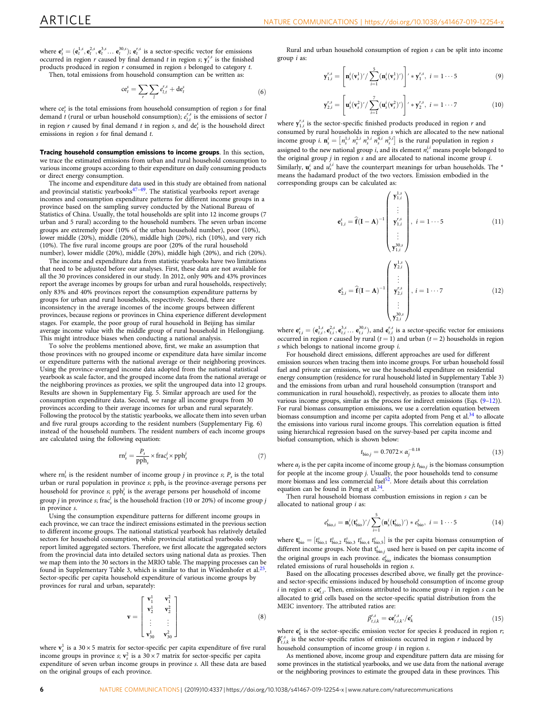$\overline{y}$ 

 $\mathbf{v}$ 

where  $\mathbf{e}_t^s = (\mathbf{e}_t^{1,s}, \mathbf{e}_t^{2,s}, \mathbf{e}_t^{3,s} \dots \mathbf{e}_t^{30,s})$ ;  $\mathbf{e}_t^{r,s}$  is a sector-specific vector for emissions occurred in region r caused by final demand t in region s;  $y_t^{r,s}$  is the finished products produced in region r consumed in region s belonged to category t. Then, total emissions from household consumption can be written as:

$$
ce_t^s = \sum_r \sum_l e_{l,t}^{r,s} + de_t^s \tag{6}
$$

where  $ce_i^s$  is the total emissions from household consumption of region  $s$  for final demand t (rural or urban household consumption);  $e_{l,t}^{r,s}$  is the emissions of sector l in region  $r$  caused by final demand  $t$  in region  $s$ , and  $de_t^s$  is the household direct emissions in region  $s$  for final demand  $t$ .

Tracing household consumption emissions to income groups. In this section, we trace the estimated emissions from urban and rural household consumption to various income groups according to their expenditure on daily consuming products or direct energy consumption.

The income and expenditure data used in this study are obtained from national and provincial statistic yearbooks $47-49$  $47-49$  $47-49$ . The statistical yearbooks report average incomes and consumption expenditure patterns for different income groups in a province based on the sampling survey conducted by the National Bureau of Statistics of China. Usually, the total households are split into 12 income groups (7 urban and 5 rural) according to the household numbers. The seven urban income groups are extremely poor (10% of the urban household number), poor (10%), lower middle (20%), middle (20%), middle high (20%), rich (10%), and very rich (10%). The five rural income groups are poor (20% of the rural household number), lower middle (20%), middle (20%), middle high (20%), and rich (20%).

The income and expenditure data from statistic yearbooks have two limitations that need to be adjusted before our analyses. First, these data are not available for all the 30 provinces considered in our study. In 2012, only 90% and 43% provinces report the average incomes by groups for urban and rural households, respectively; only 83% and 40% provinces report the consumption expenditure patterns by groups for urban and rural households, respectively. Second, there are inconsistency in the average incomes of the income groups between different provinces, because regions or provinces in China experience different development stages. For example, the poor group of rural household in Beijing has similar average income value with the middle group of rural household in Heilongjiang. This might introduce biases when conducting a national analysis.

To solve the problems mentioned above, first, we make an assumption that those provinces with no grouped income or expenditure data have similar income or expenditure patterns with the national average or their neighboring provinces. Using the province-averaged income data adopted from the national statistical yearbook as scale factor, and the grouped income data from the national average or the neighboring provinces as proxies, we split the ungrouped data into 12 groups. Results are shown in Supplementary Fig. 5. Similar approach are used for the consumption expenditure data. Second, we range all income groups from 30 provinces according to their average incomes for urban and rural separately. Following the protocol by the statistic yearbooks, we allocate them into seven urban and five rural groups according to the resident numbers (Supplementary Fig. 6) instead of the household numbers. The resident numbers of each income groups are calculated using the following equation:

$$
rn_s^j = \frac{P_s}{pph_s} \times \text{frac}_s^j \times pph_s^j \tag{7}
$$

where  $rn_s^j$  is the resident number of income group j in province s;  $P_s$  is the total urban or rural population in province  $s$ ; pph<sub>s</sub> is the province-average persons per household for province  $s$ ;  $pph_s^j$  is the average persons per household of income group *j* in province *s*; frac<sup>*j*</sup>, is the household fraction (10 or 20%) of income group *j* in province s.

Using the consumption expenditure patterns for different income groups in each province, we can trace the indirect emissions estimated in the previous section to different income groups. The national statistical yearbook has relatively detailed sectors for household consumption, while provincial statistical yearbooks only report limited aggregated sectors. Therefore, we first allocate the aggregated sectors from the provincial data into detailed sectors using national data as proxies. Then we map them into the 30 sectors in the MRIO table. The mapping processes can be found in Supplementary Table 3, which is similar to that in Wiedenhofer et al.<sup>[25](#page-7-0)</sup>. Sector-specific per capita household expenditure of various income groups by provinces for rural and urban, separately:

$$
\mathbf{v} = \begin{bmatrix} \mathbf{v}_1^1 & \mathbf{v}_1^2 \\ \mathbf{v}_2^1 & \mathbf{v}_2^2 \\ \vdots & \vdots \\ \mathbf{v}_{30}^1 & \mathbf{v}_{30}^2 \end{bmatrix}
$$
 (8)

where  $\mathbf{v}_s^1$  is a 30 × 5 matrix for sector-specific per capita expenditure of five rural income groups in province  $s$ ;  $\mathbf{v}_s^2$  is a 30 × 7 matrix for sector-specific per capita expenditure of seven urban income groups in province s. All these data are based on the original groups of each province.

Rural and urban household consumption of region s can be split into income group i as:

$$
f_{1,i}^{r,s} = \left[ \mathbf{n}_s^i(\mathbf{v}_s^1)' / \sum_{i=1}^5 (\mathbf{n}_s^i(\mathbf{v}_s^1)') \right]' * \mathbf{y}_1^{r,s}, \ i = 1 \cdots 5 \tag{9}
$$

$$
_{2,i}^{r,s} = \left[ \mathbf{u}_{s}^{i}(\mathbf{v}_{s}^{2})^{/}/\sum_{i=1}^{7} (\mathbf{u}_{s}^{i}(\mathbf{v}_{s}^{2})^{/}) \right]^{/} * \mathbf{y}_{2}^{r,s}, \ i = 1 \cdots 7
$$
 (10)

where  $y_{1,i}^{r,s}$  is the sector-specific finished products produced in region r and consumed by rural households in region s which are allocated to the new national income group *i*.  $\mathbf{n}_s^i = [n_s^{1,i} n_s^{2,i} n_s^{3,i} n_s^{4,i} n_s^{5,i}]$  is the rural population in region *s* assigned to the new national group *i*, and its element  $n_s^{j,i}$  means people belonged to the original group  $j$  in region  $s$  and are allocated to national income group  $i$ . Similarly,  $\mathbf{u}_s^i$  and  $u_s^{j,i}$  have the counterpart meanings for urban households. The  $^*$ means the hadamard product of the two vectors. Emission embodied in the corresponding groups can be calculated as:

$$
\mathbf{e}_{1,i}^s = \hat{\mathbf{f}}(\mathbf{I} - \mathbf{A})^{-1} \begin{pmatrix} \mathbf{y}_{1,i}^{1,s} \\ \vdots \\ \mathbf{y}_{1,i}^{r,s} \\ \vdots \\ \mathbf{y}_{1,i}^{30,s} \end{pmatrix}, i = 1 \cdots 5 \qquad (11)
$$

$$
\mathbf{e}_{2,i}^s = \hat{\mathbf{f}}(\mathbf{I} - \mathbf{A})^{-1} \begin{pmatrix} \mathbf{y}_{2,i}^{1,s} \\ \vdots \\ \mathbf{y}_{2,i}^{7,s} \\ \vdots \\ \mathbf{y}_{2,i}^{30,s} \end{pmatrix}, i = 1 \cdots 7 \qquad (12)
$$

where  $\mathbf{e}_{t,i}^s = (\mathbf{e}_{t,i}^{1,s}, \mathbf{e}_{t,i}^{2,s}, \mathbf{e}_{t,i}^{3,s} \dots \mathbf{e}_{t,i}^{30,s})$ , and  $\mathbf{e}_{t,i}^{r,s}$  is a sector-specific vector for emissions occurred in region r caused by rural  $(t = 1)$  and urban  $(t = 2)$  households in region  $s$  which belongs to national income group  $i$ .

 ${\bf y}_{2,i}^{30,s}$ 

For household direct emissions, different approaches are used for different emission sources when tracing them into income groups. For urban household fossil fuel and private car emissions, we use the household expenditure on residential energy consumption (residence for rural household listed in Supplementary Table 3) and the emissions from urban and rural household consumption (transport and communication in rural household), respectively, as proxies to allocate them into various income groups, similar as the process for indirect emissions (Eqs. (9–12)). For rural biomass consumption emissions, we use a correlation equation between biomass consumption and income per capita adopted from Peng et al.<sup>34</sup> to allocate the emissions into various rural income groups. This correlation equation is fitted using hierarchical regression based on the survey-based per capita income and biofuel consumption, which is shown below:

$$
t_{\text{bio},j} = 0.7072 \times \alpha_j^{-0.18} \tag{13}
$$

where  $\alpha_j$  is the per capita income of income group  $j$ ;  $t_{\text{bio},j}$  is the biomass consumption for people at the income group j. Usually, the poor households tend to consume more biomass and less commercial fuel<sup>52</sup>. More details about this correlation equation can be found in Peng et al.<sup>34</sup>

Then rural household biomass combustion emissions in region s can be allocated to national group  $i$  as:

$$
e_{\text{bio},i}^{s} = \mathbf{n}_{s}^{i}(\mathbf{t}_{\text{bio}}^{s})^{\prime} / \sum_{i=1}^{5} (\mathbf{n}_{s}^{i}(\mathbf{t}_{\text{bio}}^{s})^{\prime}) * e_{\text{bio}}^{s}, i = 1 \cdots 5
$$
 (14)

where  $\mathbf{t}_{\text{bio}}^s = [t_{\text{bio},1}^s \ t_{\text{bio},2}^s \ t_{\text{bio},3}^s \ t_{\text{bio},4}^s \ t_{\text{bio},5}^s]$  is the per capita biomass consumption of different income groups. Note that  $t_{bio,j}^s$  used here is based on per capita income of the original groups in each province.  $e_{bio}^s$  indicates the biomass consumption related emissions of rural households in region s.

Based on the allocating processes described above, we finally get the provinceand sector-specific emissions induced by household consumption of income group i in region s:  $ce^{s}_{t,i}$ . Then, emissions attributed to income group i in region s can be allocated to grid cells based on the sector-specific spatial distribution from the MEIC inventory. The attributed ratios are:

$$
\beta_{t,i,k}^{r,s} = \mathbf{ce}_{t,i,k}^{r,s} \cdot / \mathbf{e}_k^r \tag{15}
$$

where  $\mathbf{e}_k^r$  is the sector-specific emission vector for species  $k$  produced in region  $r_i$  $\beta_{t,i,k}^{r,s}$  is the sector-specific ratios of emissions occurred in region r induced by household consumption of income group  $i$  in region  $s$ .

As mentioned above, income group and expenditure pattern data are missing for some provinces in the statistical yearbooks, and we use data from the national average or the neighboring provinces to estimate the grouped data in these provinces. This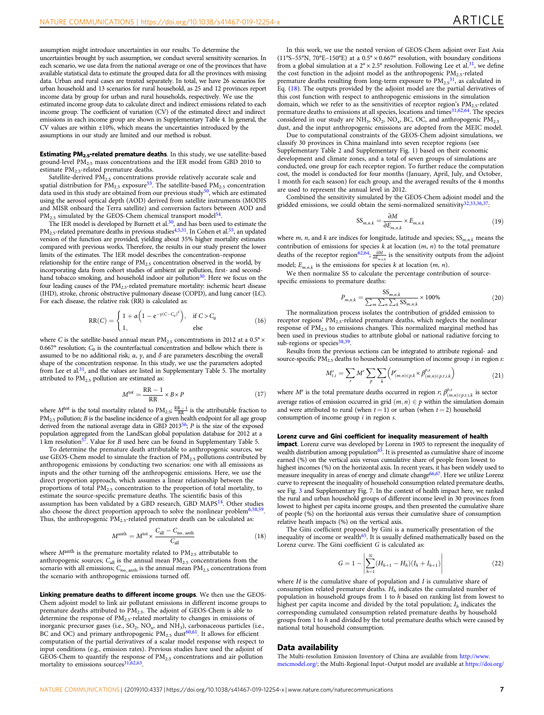assumption might introduce uncertainties in our results. To determine the uncertainties brought by such assumption, we conduct several sensitivity scenarios. In each scenario, we use data from the national average or one of the provinces that have available statistical data to estimate the grouped data for all the provinces with missing data. Urban and rural cases are treated separately. In total, we have 26 scenarios for urban household and 13 scenarios for rural household, as 25 and 12 provinces report income data by group for urban and rural households, respectively. We use the estimated income group data to calculate direct and indirect emissions related to each income group. The coefficient of variation (CV) of the estimated direct and indirect emissions in each income group are shown in Supplementary Table 4. In general, the CV values are within ±10%, which means the uncertainties introduced by the assumptions in our study are limited and our method is robust.

**Estimating PM<sub>2.5</sub>-related premature deaths**. In this study, we use satellite-based ground-level  $PM_{2.5}$  mass concentrations and the IER model from GBD 2010 to estimate  $PM_{2.5}$ -related premature deaths.

Satellite-derived  $\mathrm{PM}_{2.5}$  concentrations provide relatively accurate scale and spatial distribution for  $PM_{2.5}$  exposure<sup>[53](#page-7-0)</sup>. The satellite-based  $PM_{2.5}$  concentration data used in this study are obtained from our previous study<sup>50</sup>, which are estimated using the aerosol optical depth (AOD) derived from satellite instruments (MODIS and MISR onboard the Terra satellite) and conversion factors between AOD and PM<sub>2.5</sub> simulated by the GEOS-Chem chemical transport model<sup>54</sup>.

The IER model is developed by Burnett et al.<sup>30</sup>, and has been used to estimate the PM<sub>2.5</sub>-related premature deaths in previous studies<sup>[4](#page-7-0),[5](#page-7-0),[31](#page-7-0)</sup>. In Cohen et al.<sup>55</sup>, an updated version of the function are provided, yielding about 35% higher mortality estimates compared with previous works. Therefore, the results in our study present the lower limits of the estimates. The IER model describes the concentration–response

relationship for the entire range of  $PM<sub>2.5</sub>$  concentration observed in the world, by incorporating data from cohort studies of ambient air pollution, first- and secondhand tobacco smoking, and household indoor air pollution $30$ . Here we focus on the four leading causes of the  $PM_{2.5}$ -related premature mortality: ischemic heart disease (IHD), stroke, chronic obstructive pulmonary disease (COPD), and lung cancer (LC). For each disease, the relative risk (RR) is calculated as:

$$
RR(C) = \begin{cases} 1 + \alpha \left(1 - e^{-\gamma (C - C_0)^{\delta}}\right), & \text{if } C > C_0 \\ 1, & \text{else} \end{cases}
$$
(16)

where C is the satellite-based annual mean  $PM_{2.5}$  concentrations in 2012 at a 0.5°  $\times$ 0.667° resolution;  $C_0$  is the counterfactual concentration and bellow which there is assumed to be no additional risk;  $\alpha$ ,  $\gamma$ , and  $\delta$  are parameters describing the overall shape of the concentration response. In this study, we use the parameters adopted from Lee et  $al.31$  $al.31$ , and the values are listed in Supplementary Table 5. The mortality attributed to  $PM<sub>2.5</sub>$  pollution are estimated as:

$$
Mtot = \frac{RR - 1}{RR} \times B \times P
$$
 (17)

where  $M<sup>tot</sup>$  is the total mortality related to  $PM_{2.5}$ ;  $\frac{RR-1}{RR}$  is the attributable fraction to  $PM<sub>2.5</sub>$  pollution; *B* is the baseline incidence of a given health endpoint for all age group derived from the national average data in GBD 2013<sup>[56](#page-8-0)</sup>; P is the size of the exposed population aggregated from the LandScan global population database for 2012 at a<br>1 km resolution<sup>57</sup>. Value for *B* used here can be found in Supplementary Table 5.

To determine the premature death attributable to anthropogenic sources, we use GEOS-Chem model to simulate the fraction of PM<sub>2.5</sub> pollutions contributed by anthropogenic emissions by conducting two scenarios: one with all emissions as inputs and the other turning off the anthropogenic emissions. Here, we use the direct proportion approach, which assumes a linear relationship between the proportions of total PM2.5 concentration to the proportion of total mortality, to estimate the source-specific premature deaths. The scientific basis of this assumption has been validated by a GBD research, GBD MAPS[14.](#page-7-0) Other studies also choose the direct proportion approach to solve the nonlinear problem<sup>[6,](#page-7-0)51</sup> Thus, the anthropogenic  $PM_{2.5}$ -related premature death can be calculated as:

$$
M^{\text{anth}} = M^{\text{tot}} \times \frac{C_{\text{all}} - C_{\text{no\_anth}}}{C_{\text{all}}}
$$
\n(18)

where  $M<sup>anh</sup>$  is the premature mortality related to  $PM<sub>2.5</sub>$  attributable to anthropogenic sources;  $C_{all}$  is the annual mean  $PM_{2.5}$  concentrations from the scenario with all emissions;  $C_{no\_anth}$  is the annual mean  $PM_{2.5}$  concentrations from the scenario with anthropogenic emissions turned off.

Linking premature deaths to different income groups. We then use the GEOS-Chem adjoint model to link air pollutant emissions in different income groups to premature deaths attributed to  $\overrightarrow{P}M_{2.5}$ . The adjoint of GEOS-Chem is able to determine the response of  $PM_{2.5}$ -related mortality to changes in emissions of inorganic precursor gases (i.e., SO<sub>2</sub>, NO<sub>x</sub>, and NH<sub>3</sub>), carbonaceous particles (i.e., BC and OC) and primary anthropogenic PM<sub>2.5</sub> dust<sup>[60,61](#page-8-0)</sup>. It allows for efficient computation of the partial derivatives of a scalar model response with respect to input conditions (e.g., emission rates). Previous studies have used the adjoint of GEOS-Chem to quantify the response of  $PM<sub>2.5</sub>$  concentrations and air pollution mortality to emissions sources $31,62,63$  $31,62,63$  $31,62,63$  $31,62,63$ .

In this work, we use the nested version of GEOS-Chem adjoint over East Asia (11°S–55°N, 70°E–150°E) at a  $0.5^\circ \times 0.667^\circ$  resolution, with boundary conditions from a global simulation at a  $2^{\circ} \times 2.5^{\circ}$  resolution. Following Lee et al.<sup>[31](#page-7-0)</sup>, we define the cost function in the adjoint model as the anthropogenic PM<sub>2.5</sub>-related premature deaths resulting from long-term exposure to  $PM_{2.5}$ <sup>31</sup>, as calculated in Eq. (18). The outputs provided by the adjoint model are the partial derivatives of this cost function with respect to anthropogenic emissions in the simulation domain, which we refer to as the sensitivities of receptor region's  $PM_{2.5}$ -related premature deaths to emissions at all species, locations and times<sup>[31](#page-7-0)[,62,64](#page-8-0)</sup>. The species considered in our study are NH<sub>3</sub>, SO<sub>2</sub>, NO<sub>x</sub>, BC, OC, and anthropogenic PM<sub>2.5</sub> dust, and the input anthropogenic emissions are adopted from the MEIC model.

Due to computational constraints of the GEOS-Chem adjoint simulations, we classify 30 provinces in China mainland into seven receptor regions (see Supplementary Table 2 and Supplementary Fig. 1) based on their economic development and climate zones, and a total of seven groups of simulations are conducted, one group for each receptor region. To further reduce the computation cost, the model is conducted for four months (January, April, July, and October, 1 month for each season) for each group, and the averaged results of the 4 months are used to represent the annual level in 2012.

Combined the sensitivity simulated by the GEOS-Chem adjoint model and the gridded emissions, we could obtain the semi-normalized sensitivity $32,33,36,37$ :

$$
SS_{m,n,k} = \frac{\partial M}{\partial E_{m,n,k}} \times E_{m,n,k}
$$
\n(19)

where  $m$ ,  $n$ , and  $k$  are indices for longitude, latitude and species;  $SS_{m,n,k}$  means the contribution of emissions for species *k* at location (*m*, *n*) to the total premature deaths of the receptor region<sup>[62](#page-8-0),[64](#page-8-0)</sup>;  $\frac{\partial M}{\partial E_{m,n,k}}$  is the sensitivity outputs from the adjoint model;  $E_{m,n,k}$  is the emissions for species k at location  $(m, n)$ .

We then normalize SS to calculate the percentage contribution of sourcespecific emissions to premature deaths:

$$
P_{m,n,k} = \frac{SS_{m,n,k}}{\sum_{m} \sum_{k} SS_{m,n,k}} \times 100\%
$$
 (20)

The normalization process isolates the contribution of gridded emission to receptor regions' PM<sub>2.5</sub>-related premature deaths, which neglects the nonlinear response of  $PM<sub>2.5</sub>$  to emissions changes. This normalized marginal method has been used in previous studies to attribute global or national radiative forcing to sub-regions or species<sup>[38,39](#page-7-0)</sup>.

Results from the previous sections can be integrated to attribute regional- and source-specific  $PM_{2.5}$  deaths to household consumption of income group *i* in region s:

$$
M_{t,i}^{s} = \sum_{r} M^{r} \sum_{p} \sum_{k} \left( P_{(m,n)\in p,k}^{r} \times \beta_{(m,n)\in p,t,i,k}^{p,s} \right) \tag{21}
$$

where  $M^r$  is the total premature deaths occurred in region  $r,$   $\beta_{(m,n)\in p,t,i,k}^{p,s}$  is sector average ratios of emission occurred in grid  $(m, n) \in p$  within the simulation domain and were attributed to rural (when  $t = 1$ ) or urban (when  $t = 2$ ) household consumption of income group  $i$  in region  $s$ .

### Lorenz curve and Gini coefficient for inequality measurement of health

**impact**. Lorenz curve was developed by Lorenz in 1905 to represent the inequality of wealth distribution among population<sup>65</sup>. It is presented as cumulative share of income earned (%) on the vertical axis versus cumulative share of people from lowest to highest incomes (%) on the horizontal axis. In recent years, it has been widely used to measure inequality in areas of energy and climate change<sup>66,[67](#page-8-0)</sup>. Here we utilize Lorenz curve to represent the inequality of household consumption related premature deaths, see Fig. [3](#page-2-0) and Supplementary Fig. 7. In the context of health impact here, we ranked the rural and urban household groups of different income level in 30 provinces from lowest to highest per capita income groups, and then presented the cumulative share of people (%) on the horizontal axis versus their cumulative share of consumption relative heath impacts (%) on the vertical axis.

The Gini coefficient proposed by Gini is a numerically presentation of the inequality of income or wealth<sup>[65](#page-8-0)</sup>. It is usually defined mathematically based on the Lorenz curve. The Gini coefficient G is calculated as:

$$
G = 1 - \left| \sum_{h=1}^{N} (H_{h+1} - H_h)(I_h + I_{h+1}) \right| \tag{22}
$$

where  $H$  is the cumulative share of population and  $I$  is cumulative share of consumption related premature deaths.  $H<sub>h</sub>$  indicates the cumulated number of population in household groups from 1 to h based on ranking list from lowest to highest per capita income and divided by the total population;  $I_h$  indicates the corresponding cumulated consumption related premature deaths by household groups from 1 to h and divided by the total premature deaths which were caused by national total household consumption.

### Data availability

The Multi-resolution Emission Inventory of China are available from [http://www.](http://www.meicmodel.org/) [meicmodel.org/](http://www.meicmodel.org/); the Multi-Regional Input–Output model are available at [https://doi.org/](https://doi.org/10.6084/m9.figshare.c.4064285)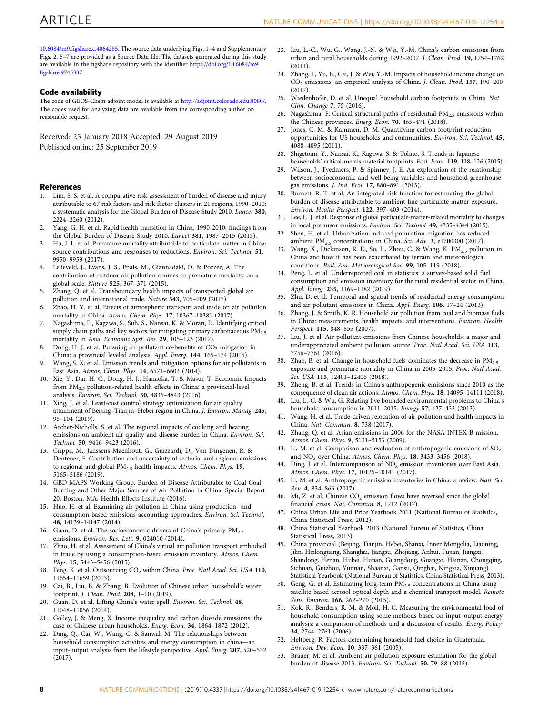<span id="page-7-0"></span>10.6084/m9.fi[gshare.c.4064285](https://doi.org/10.6084/m9.figshare.c.4064285). The source data underlying Figs. 1–4 and Supplementary Figs. 2, 5–7 are provided as a Source Data file. The datasets generated during this study are available in the figshare repository with the identifier [https://doi.org/10.6084/m9.](https://doi.org/10.6084/m9.figshare.9745337) fi[gshare.9745337](https://doi.org/10.6084/m9.figshare.9745337).

### Code availability

The code of GEOS-Chem adjoint model is available at <http://adjoint.colorado.edu:8080/>. The codes used for analyzing data are available from the corresponding author on reasonable request.

Received: 25 January 2018 Accepted: 29 August 2019 Published online: 25 September 2019

### **References**

- 1. Lim, S. S. et al. A comparative risk assessment of burden of disease and injury attributable to 67 risk factors and risk factor clusters in 21 regions, 1990–2010: a systematic analysis for the Global Burden of Disease Study 2010. Lancet 380, 2224–2260 (2012).
- 2. Yang, G. H. et al. Rapid health transition in China, 1990-2010: findings from the Global Burden of Disease Study 2010. Lancet 381, 1987–2015 (2013).
- 3. Hu, J. L. et al. Premature mortality attributable to particulate matter in China: source contributions and responses to reductions. Environ. Sci. Technol. 51, 9950–9959 (2017).
- 4. Lelieveld, J., Evans, J. S., Fnais, M., Giannadaki, D. & Pozzer, A. The contribution of outdoor air pollution sources to premature mortality on a global scale. Nature 525, 367–371 (2015).
- 5. Zhang, Q. et al. Transboundary health impacts of transported global air pollution and international trade. Nature 543, 705–709 (2017).
- 6. Zhao, H. Y. et al. Effects of atmospheric transport and trade on air pollution mortality in China. Atmos. Chem. Phys. 17, 10367–10381 (2017).
- 7. Nagashima, F., Kagawa, S., Suh, S., Nansai, K. & Moran, D. Identifying critical supply chain paths and key sectors for mitigating primary carbonaceous  $PM_{2.5}$ mortality in Asia. Economic Syst. Res. 29, 105–123 (2017).
- 8. Dong, H. J. et al. Pursuing air pollutant co-benefits of CO<sub>2</sub> mitigation in China: a provincial leveled analysis. Appl. Energ. 144, 165–174 (2015).
- 9. Wang, S. X. et al. Emission trends and mitigation options for air pollutants in East Asia. Atmos. Chem. Phys. 14, 6571–6603 (2014).
- 10. Xie, Y., Dai, H. C., Dong, H. J., Hanaoka, T. & Masui, T. Economic Impacts from PM2.5 pollution-related health effects in China: a provincial-level analysis. Environ. Sci. Technol. 50, 4836–4843 (2016).
- 11. Xing, J. et al. Least-cost control strategy optimization for air quality attainment of Beijing–Tianjin–Hebei region in China. J. Environ. Manag. 245, 95–104 (2019).
- 12. Archer-Nicholls, S. et al. The regional impacts of cooking and heating emissions on ambient air quality and disease burden in China. Environ. Sci. Technol. 50, 9416–9423 (2016).
- 13. Crippa, M., Janssens-Maenhout, G., Guizzardi, D., Van Dingenen, R. & Dentener, F. Contribution and uncertainty of sectorial and regional emissions to regional and global PM<sub>2.5</sub> health impacts. Atmos. Chem. Phys. 19, 5165–5186 (2019).
- 14. GBD MAPS Working Group. Burden of Disease Attributable to Coal Coal-Burning and Other Major Sources of Air Pollution in China. Special Report 20. Boston, MA: Health Effects Institute (2016).
- 15. Huo, H. et al. Examining air pollution in China using production- and consumption-based emissions accounting approaches. Environ. Sci. Technol. 48, 14139–14147 (2014).
- 16. Guan, D. et al. The socioeconomic drivers of China's primary  $PM_{2.5}$ emissions. Environ. Res. Lett. 9, 024010 (2014).
- 17. Zhao, H. et al. Assessment of China's virtual air pollution transport embodied in trade by using a consumption-based emission inventory. Atmos. Chem. Phys. 15, 5443–5456 (2015).
- 18. Feng, K. et al. Outsourcing CO<sub>2</sub> within China. Proc. Natl Acad. Sci. USA 110, 11654–11659 (2013).
- 19. Cai, B., Liu, B. & Zhang, B. Evolution of Chinese urban household's water footprint. J. Clean. Prod. 208, 1–10 (2019).
- 20. Guan, D. et al. Lifting China's water spell. Environ. Sci. Technol. 48, 11048–11056 (2014).
- 21. Golley, J. & Meng, X. Income inequality and carbon dioxide emissions: the case of Chinese urban households. Energ. Econ. 34, 1864–1872 (2012).
- 22. Ding, Q., Cai, W., Wang, C. & Sanwal, M. The relationships between household consumption activities and energy consumption in china—an input-output analysis from the lifestyle perspective. Appl. Energ. 207, 520–532 (2017).
- 23. Liu, L.-C., Wu, G., Wang, J.-N. & Wei, Y.-M. China's carbon emissions from urban and rural households during 1992–2007. J. Clean. Prod. 19, 1754–1762  $(2011)$
- 24. Zhang, J., Yu, B., Cai, J. & Wei, Y.-M. Impacts of household income change on CO2 emissions: an empirical analysis of China. J. Clean. Prod. 157, 190–200  $(2017)$
- 25. Wiedenhofer, D. et al. Unequal household carbon footprints in China. Nat. Clim. Change 7, 75 (2016).
- 26. Nagashima, F. Critical structural paths of residential  $PM_{2.5}$  emissions within the Chinese provinces. Energ. Econ. 70, 465-471 (2018).
- 27. Jones, C. M. & Kammen, D. M. Quantifying carbon footprint reduction opportunities for US households and communities. Environ. Sci. Technol. 45, 4088–4095 (2011).
- 28. Shigetomi, Y., Nansai, K., Kagawa, S. & Tohno, S. Trends in Japanese households' critical-metals material footprints. Ecol. Econ. 119, 118–126 (2015).
- 29. Wilson, J., Tyedmers, P. & Spinney, J. E. An exploration of the relationship between socioeconomic and well-being variables and household greenhouse gas emissions. J. Ind. Ecol. 17, 880–891 (2013).
- 30. Burnett, R. T. et al. An integrated risk function for estimating the global burden of disease attributable to ambient fine particulate matter exposure. Environ. Health Perspect. 122, 397–403 (2014).
- 31. Lee, C. J. et al. Response of global particulate-matter-related mortality to changes in local precursor emissions. Environ. Sci. Technol. 49, 4335–4344 (2015).
- 32. Shen, H. et al. Urbanization-induced population migration has reduced ambient PM<sub>2.5</sub> concentrations in China. Sci. Adv. 3, e1700300 (2017).
- 33. Wang, X., Dickinson, R. E., Su, L., Zhou, C. & Wang, K. PM<sub>2.5</sub> pollution in China and how it has been exacerbated by terrain and meteorological conditions. Bull. Am. Meteorological Soc. 99, 105–119 (2018).
- 34. Peng, L. et al. Underreported coal in statistics: a survey-based solid fuel consumption and emission inventory for the rural residential sector in China. Appl. Energ. 235, 1169-1182 (2019).
- 35. Zhu, D. et al. Temporal and spatial trends of residential energy consumption and air pollutant emissions in China. Appl. Energ. 106, 17–24 (2013).
- 36. Zhang, J. & Smith, K. R. Household air pollution from coal and biomass fuels in China: measurements, health impacts, and interventions. Environ. Health Perspect. 115, 848–855 (2007).
- 37. Liu, J. et al. Air pollutant emissions from Chinese households: a major and underappreciated ambient pollution source. Proc. Natl Acad. Sci. USA 113, 7756–7761 (2016).
- 38. Zhao, B. et al. Change in household fuels dominates the decrease in  $PM_{2.5}$ exposure and premature mortality in China in 2005–2015. Proc. Natl Acad. Sci. USA 115, 12401–12406 (2018).
- 39. Zheng, B. et al. Trends in China's anthropogenic emissions since 2010 as the consequence of clean air actions. Atmos. Chem. Phys. 18, 14095–14111 (2018).
- 40. Liu, L.-C. & Wu, G. Relating five bounded environmental problems to China's household consumption in 2011–2015. Energy 57, 427–433 (2013).
- 41. Wang, H. et al. Trade-driven relocation of air pollution and health impacts in China. Nat. Commun. 8, 738 (2017).
- 42. Zhang, Q. et al. Asian emissions in 2006 for the NASA INTEX-B mission. Atmos. Chem. Phys. 9, 5131–5153 (2009).
- 43. Li, M. et al. Comparison and evaluation of anthropogenic emissions of  $SO<sub>2</sub>$ and NOx over China. Atmos. Chem. Phys. 18, 3433–3456 (2018).
- 44. Ding, J. et al. Intercomparison of  $NO<sub>x</sub>$  emission inventories over East Asia. Atmos. Chem. Phys. 17, 10125–10141 (2017).
- Li, M. et al. Anthropogenic emission inventories in China: a review. Natl. Sci. Rev. 4, 834–866 (2017).
- 46. Mi, Z. et al. Chinese  $CO<sub>2</sub>$  emission flows have reversed since the global financial crisis. Nat. Commun. 8, 1712 (2017).
- 47. China Urban Life and Price Yearbook 2011 (National Bureau of Statistics, China Statistical Press, 2012).
- 48. China Statistical Yearbook 2013 (National Bureau of Statistics, China Statistical Press, 2013).
- 49. China provincial (Beijing, Tianjin, Hebei, Shanxi, Inner Mongolia, Liaoning, Jilin, Heilongjiang, Shanghai, Jiangsu, Zhejiang, Anhui, Fujian, Jiangxi, Shandong, Henan, Hubei, Hunan, Guangdong, Guangxi, Hainan, Chongqing, Sichuan, Guizhou, Yunnan, Shaanxi, Gansu, Qinghai, Ningxia, Xinjiang) Statistical Yearbook (National Bureau of Statistics, China Statistical Press, 2013).
- 50. Geng, G. et al. Estimating long-term  $PM<sub>2.5</sub>$  concentrations in China using satellite-based aerosol optical depth and a chemical transport model. Remote Sens. Environ. 166, 262–270 (2015).
- 51. Kok, R., Benders, R. M. & Moll, H. C. Measuring the environmental load of household consumption using some methods based on input–output energy analysis: a comparison of methods and a discussion of results. Energ. Policy 34, 2744–2761 (2006).
- 52. Heltberg, R. Factors determining household fuel choice in Guatemala. Environ. Dev. Econ. 10, 337–361 (2005).
- 53. Brauer, M. et al. Ambient air pollution exposure estimation for the global burden of disease 2013. Environ. Sci. Technol. 50, 79–88 (2015).